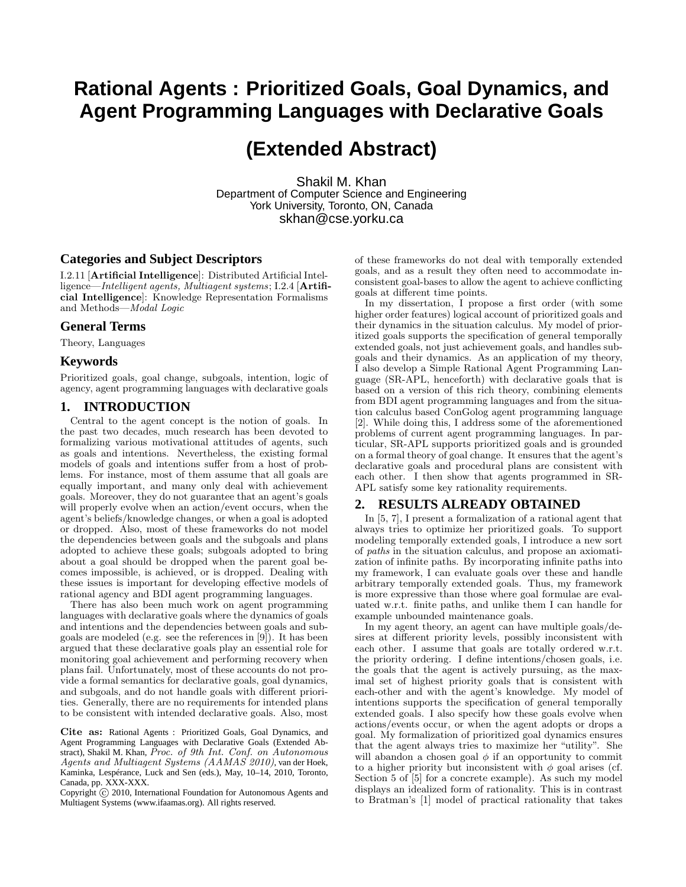# **Rational Agents : Prioritized Goals, Goal Dynamics, and Agent Programming Languages with Declarative Goals**

# **(Extended Abstract)**

Shakil M. Khan Department of Computer Science and Engineering York University, Toronto, ON, Canada skhan@cse.yorku.ca

### **Categories and Subject Descriptors**

I.2.11 [Artificial Intelligence]: Distributed Artificial Intelligence—Intelligent agents, Multiagent systems; I.2.4 [Artificial Intelligence]: Knowledge Representation Formalisms and Methods—Modal Logic

#### **General Terms**

Theory, Languages

### **Keywords**

Prioritized goals, goal change, subgoals, intention, logic of agency, agent programming languages with declarative goals

## **1. INTRODUCTION**

Central to the agent concept is the notion of goals. In the past two decades, much research has been devoted to formalizing various motivational attitudes of agents, such as goals and intentions. Nevertheless, the existing formal models of goals and intentions suffer from a host of problems. For instance, most of them assume that all goals are equally important, and many only deal with achievement goals. Moreover, they do not guarantee that an agent's goals will properly evolve when an action/event occurs, when the agent's beliefs/knowledge changes, or when a goal is adopted or dropped. Also, most of these frameworks do not model the dependencies between goals and the subgoals and plans adopted to achieve these goals; subgoals adopted to bring about a goal should be dropped when the parent goal becomes impossible, is achieved, or is dropped. Dealing with these issues is important for developing effective models of rational agency and BDI agent programming languages.

There has also been much work on agent programming languages with declarative goals where the dynamics of goals and intentions and the dependencies between goals and subgoals are modeled (e.g. see the references in [9]). It has been argued that these declarative goals play an essential role for monitoring goal achievement and performing recovery when plans fail. Unfortunately, most of these accounts do not provide a formal semantics for declarative goals, goal dynamics, and subgoals, and do not handle goals with different priorities. Generally, there are no requirements for intended plans to be consistent with intended declarative goals. Also, most

Cite as: Rational Agents : Prioritized Goals, Goal Dynamics, and Agent Programming Languages with Declarative Goals (Extended Abstract), Shakil M. Khan, Proc. of 9th Int. Conf. on Autonomous Agents and Multiagent Systems (AAMAS 2010), van der Hoek, Kaminka, Lespérance, Luck and Sen (eds.), May, 10–14, 2010, Toronto, Canada, pp. XXX-XXX.

Copyright  $\widehat{c}$  2010, International Foundation for Autonomous Agents and Multiagent Systems (www.ifaamas.org). All rights reserved.

of these frameworks do not deal with temporally extended goals, and as a result they often need to accommodate inconsistent goal-bases to allow the agent to achieve conflicting goals at different time points.

In my dissertation, I propose a first order (with some higher order features) logical account of prioritized goals and their dynamics in the situation calculus. My model of prioritized goals supports the specification of general temporally extended goals, not just achievement goals, and handles subgoals and their dynamics. As an application of my theory, I also develop a Simple Rational Agent Programming Language (SR-APL, henceforth) with declarative goals that is based on a version of this rich theory, combining elements from BDI agent programming languages and from the situation calculus based ConGolog agent programming language [2]. While doing this, I address some of the aforementioned problems of current agent programming languages. In particular, SR-APL supports prioritized goals and is grounded on a formal theory of goal change. It ensures that the agent's declarative goals and procedural plans are consistent with each other. I then show that agents programmed in SR-APL satisfy some key rationality requirements.

#### **2. RESULTS ALREADY OBTAINED**

In [5, 7], I present a formalization of a rational agent that always tries to optimize her prioritized goals. To support modeling temporally extended goals, I introduce a new sort of paths in the situation calculus, and propose an axiomatization of infinite paths. By incorporating infinite paths into my framework, I can evaluate goals over these and handle arbitrary temporally extended goals. Thus, my framework is more expressive than those where goal formulae are evaluated w.r.t. finite paths, and unlike them I can handle for example unbounded maintenance goals.

In my agent theory, an agent can have multiple goals/desires at different priority levels, possibly inconsistent with each other. I assume that goals are totally ordered w.r.t. the priority ordering. I define intentions/chosen goals, i.e. the goals that the agent is actively pursuing, as the maximal set of highest priority goals that is consistent with each-other and with the agent's knowledge. My model of intentions supports the specification of general temporally extended goals. I also specify how these goals evolve when actions/events occur, or when the agent adopts or drops a goal. My formalization of prioritized goal dynamics ensures that the agent always tries to maximize her "utility". She will abandon a chosen goal  $\phi$  if an opportunity to commit to a higher priority but inconsistent with  $\phi$  goal arises (cf. Section 5 of [5] for a concrete example). As such my model displays an idealized form of rationality. This is in contrast to Bratman's [1] model of practical rationality that takes